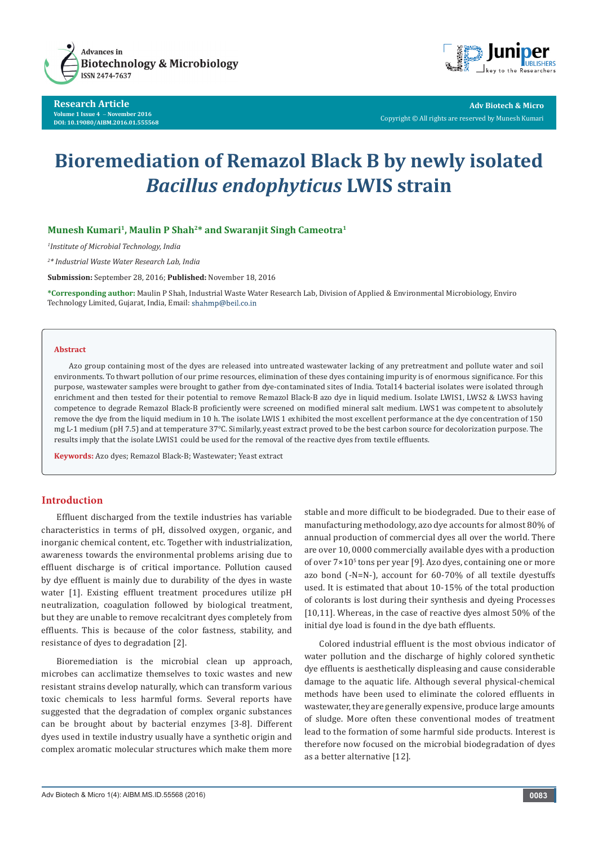

**Research Article Volume 1 Issue 4** - **November 2016 DOI: [10.19080/AIBM.2016.01.555568](http://dx.doi.org/10.19080/AIBM.2016.01.555568
)**



**Adv Biotech & Micro** Copyright © All rights are reserved by Munesh Kumari

# **Bioremediation of Remazol Black B by newly isolated**  *Bacillus endophyticus* **LWIS strain**

## **Munesh Kumari1, Maulin P Shah2\* and Swaranjit Singh Cameotra1**

*1 Institute of Microbial Technology, India*

*2 \* Industrial Waste Water Research Lab, India*

**Submission:** September 28, 2016; **Published:** November 18, 2016

**\*Corresponding author:** Maulin P Shah, Industrial Waste Water Research Lab, Division of Applied & Environmental Microbiology, Enviro Technology Limited, Gujarat, India, Email: shahmp@beil.co.in

#### **Abstract**

Azo group containing most of the dyes are released into untreated wastewater lacking of any pretreatment and pollute water and soil environments. To thwart pollution of our prime resources, elimination of these dyes containing impurity is of enormous significance. For this purpose, wastewater samples were brought to gather from dye-contaminated sites of India. Total14 bacterial isolates were isolated through enrichment and then tested for their potential to remove Remazol Black-B azo dye in liquid medium. Isolate LWIS1, LWS2 & LWS3 having competence to degrade Remazol Black-B proficiently were screened on modified mineral salt medium. LWS1 was competent to absolutely remove the dye from the liquid medium in 10 h. The isolate LWIS 1 exhibited the most excellent performance at the dye concentration of 150 mg L-1 medium (pH 7.5) and at temperature 37°C. Similarly, yeast extract proved to be the best carbon source for decolorization purpose. The results imply that the isolate LWIS1 could be used for the removal of the reactive dyes from textile effluents.

**Keywords:** Azo dyes; Remazol Black-B; Wastewater; Yeast extract

# **Introduction**

Effluent discharged from the textile industries has variable characteristics in terms of pH, dissolved oxygen, organic, and inorganic chemical content, etc. Together with industrialization, awareness towards the environmental problems arising due to effluent discharge is of critical importance. Pollution caused by dye effluent is mainly due to durability of the dyes in waste water [1]. Existing effluent treatment procedures utilize pH neutralization, coagulation followed by biological treatment, but they are unable to remove recalcitrant dyes completely from effluents. This is because of the color fastness, stability, and resistance of dyes to degradation [2].

Bioremediation is the microbial clean up approach, microbes can acclimatize themselves to toxic wastes and new resistant strains develop naturally, which can transform various toxic chemicals to less harmful forms. Several reports have suggested that the degradation of complex organic substances can be brought about by bacterial enzymes [3-8]. Different dyes used in textile industry usually have a synthetic origin and complex aromatic molecular structures which make them more

stable and more difficult to be biodegraded. Due to their ease of manufacturing methodology, azo dye accounts for almost 80% of annual production of commercial dyes all over the world. There are over 10, 0000 commercially available dyes with a production of over  $7\times10^{5}$  tons per year [9]. Azo dyes, containing one or more azo bond (-N=N-), account for 60-70% of all textile dyestuffs used. It is estimated that about 10-15% of the total production of colorants is lost during their synthesis and dyeing Processes [10,11]. Whereas, in the case of reactive dyes almost 50% of the initial dye load is found in the dye bath effluents.

Colored industrial effluent is the most obvious indicator of water pollution and the discharge of highly colored synthetic dye effluents is aesthetically displeasing and cause considerable damage to the aquatic life. Although several physical-chemical methods have been used to eliminate the colored effluents in wastewater, they are generally expensive, produce large amounts of sludge. More often these conventional modes of treatment lead to the formation of some harmful side products. Interest is therefore now focused on the microbial biodegradation of dyes as a better alternative [12].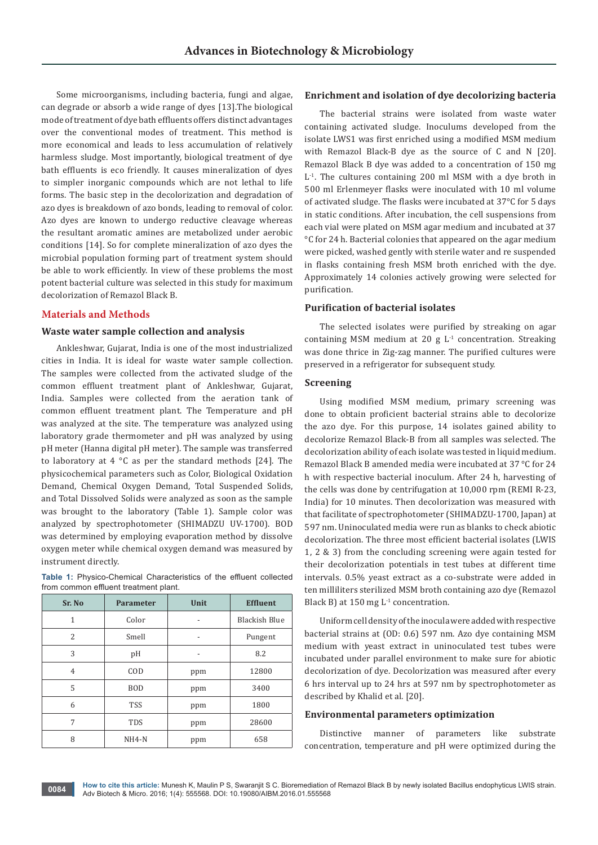Some microorganisms, including bacteria, fungi and algae, can degrade or absorb a wide range of dyes [13].The biological mode of treatment of dye bath effluents offers distinct advantages over the conventional modes of treatment. This method is more economical and leads to less accumulation of relatively harmless sludge. Most importantly, biological treatment of dye bath effluents is eco friendly. It causes mineralization of dyes to simpler inorganic compounds which are not lethal to life forms. The basic step in the decolorization and degradation of azo dyes is breakdown of azo bonds, leading to removal of color. Azo dyes are known to undergo reductive cleavage whereas the resultant aromatic amines are metabolized under aerobic conditions [14]. So for complete mineralization of azo dyes the microbial population forming part of treatment system should be able to work efficiently. In view of these problems the most potent bacterial culture was selected in this study for maximum decolorization of Remazol Black B.

## **Materials and Methods**

#### **Waste water sample collection and analysis**

Ankleshwar, Gujarat, India is one of the most industrialized cities in India. It is ideal for waste water sample collection. The samples were collected from the activated sludge of the common effluent treatment plant of Ankleshwar, Gujarat, India. Samples were collected from the aeration tank of common effluent treatment plant. The Temperature and pH was analyzed at the site. The temperature was analyzed using laboratory grade thermometer and pH was analyzed by using pH meter (Hanna digital pH meter). The sample was transferred to laboratory at 4  $\degree$ C as per the standard methods [24]. The physicochemical parameters such as Color, Biological Oxidation Demand, Chemical Oxygen Demand, Total Suspended Solids, and Total Dissolved Solids were analyzed as soon as the sample was brought to the laboratory (Table 1). Sample color was analyzed by spectrophotometer (SHIMADZU UV-1700). BOD was determined by employing evaporation method by dissolve oxygen meter while chemical oxygen demand was measured by instrument directly.

|  |                                       | <b>Table 1:</b> Physico-Chemical Characteristics of the effluent collected |  |  |
|--|---------------------------------------|----------------------------------------------------------------------------|--|--|
|  | from common effluent treatment plant. |                                                                            |  |  |

| Sr. No       | <b>Parameter</b> | Unit           | <b>Effluent</b>      |
|--------------|------------------|----------------|----------------------|
| $\mathbf{1}$ | Color            | $\overline{a}$ | <b>Blackish Blue</b> |
| 2            | Smell            | -              | Pungent              |
| 3            | pH               |                | 8.2                  |
| 4            | COD              | ppm            | 12800                |
| 5            | <b>BOD</b>       | ppm            | 3400                 |
| 6            | <b>TSS</b>       | ppm            | 1800                 |
| 7            | <b>TDS</b>       | ppm            | 28600                |
| 8            | $NH4-N$          | ppm            | 658                  |

## **Enrichment and isolation of dye decolorizing bacteria**

The bacterial strains were isolated from waste water containing activated sludge. Inoculums developed from the isolate LWS1 was first enriched using a modified MSM medium with Remazol Black-B dye as the source of C and N [20]. Remazol Black B dye was added to a concentration of 150 mg  $L<sup>1</sup>$ . The cultures containing 200 ml MSM with a dye broth in 500 ml Erlenmeyer flasks were inoculated with 10 ml volume of activated sludge. The flasks were incubated at 37°C for 5 days in static conditions. After incubation, the cell suspensions from each vial were plated on MSM agar medium and incubated at 37 °C for 24 h. Bacterial colonies that appeared on the agar medium were picked, washed gently with sterile water and re suspended in flasks containing fresh MSM broth enriched with the dye. Approximately 14 colonies actively growing were selected for purification.

#### **Purification of bacterial isolates**

The selected isolates were purified by streaking on agar containing MSM medium at 20 g  $L^1$  concentration. Streaking was done thrice in Zig-zag manner. The purified cultures were preserved in a refrigerator for subsequent study.

## **Screening**

Using modified MSM medium, primary screening was done to obtain proficient bacterial strains able to decolorize the azo dye. For this purpose, 14 isolates gained ability to decolorize Remazol Black-B from all samples was selected. The decolorization ability of each isolate was tested in liquid medium. Remazol Black B amended media were incubated at 37 °C for 24 h with respective bacterial inoculum. After 24 h, harvesting of the cells was done by centrifugation at 10,000 rpm (REMI R-23, India) for 10 minutes. Then decolorization was measured with that facilitate of spectrophotometer (SHIMADZU-1700, Japan) at 597 nm. Uninoculated media were run as blanks to check abiotic decolorization. The three most efficient bacterial isolates (LWIS 1, 2 & 3) from the concluding screening were again tested for their decolorization potentials in test tubes at different time intervals. 0.5% yeast extract as a co-substrate were added in ten milliliters sterilized MSM broth containing azo dye (Remazol Black B) at 150 mg  $L^1$  concentration.

Uniform cell density of the inocula were added with respective bacterial strains at (OD: 0.6) 597 nm. Azo dye containing MSM medium with yeast extract in uninoculated test tubes were incubated under parallel environment to make sure for abiotic decolorization of dye. Decolorization was measured after every 6 hrs interval up to 24 hrs at 597 nm by spectrophotometer as described by Khalid et al. [20].

#### **Environmental parameters optimization**

Distinctive manner of parameters like substrate concentration, temperature and pH were optimized during the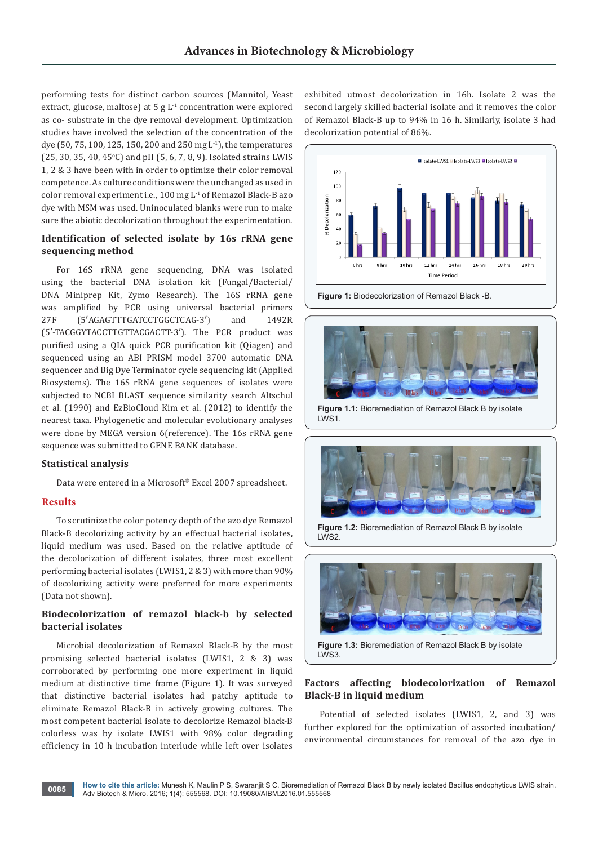performing tests for distinct carbon sources (Mannitol, Yeast extract, glucose, maltose) at  $5 g L<sup>1</sup>$  concentration were explored as co- substrate in the dye removal development. Optimization studies have involved the selection of the concentration of the dye (50, 75, 100, 125, 150, 200 and 250 mg L-1), the temperatures  $(25, 30, 35, 40, 45^{\circ}C)$  and pH  $(5, 6, 7, 8, 9)$ . Isolated strains LWIS 1, 2 & 3 have been with in order to optimize their color removal competence. As culture conditions were the unchanged as used in color removal experiment i.e., 100 mg L-1 of Remazol Black-B azo dye with MSM was used. Uninoculated blanks were run to make sure the abiotic decolorization throughout the experimentation.

# **Identification of selected isolate by 16s rRNA gene sequencing method**

For 16S rRNA gene sequencing, DNA was isolated using the bacterial DNA isolation kit (Fungal/Bacterial/ DNA Miniprep Kit, Zymo Research). The 16S rRNA gene was amplified by PCR using universal bacterial primers 27F (5′AGAGTTTGATCCTGGCTCAG-3′) and 1492R (5′-TACGGYTACCTTGTTACGACTT-3′). The PCR product was purified using a QIA quick PCR purification kit (Qiagen) and sequenced using an ABI PRISM model 3700 automatic DNA sequencer and Big Dye Terminator cycle sequencing kit (Applied Biosystems). The 16S rRNA gene sequences of isolates were subjected to NCBI BLAST sequence similarity search Altschul et al. (1990) and EzBioCloud Kim et al. (2012) to identify the nearest taxa. Phylogenetic and molecular evolutionary analyses were done by MEGA version 6(reference). The 16s rRNA gene sequence was submitted to GENE BANK database.

# **Statistical analysis**

Data were entered in a Microsoft® Excel 2007 spreadsheet.

# **Results**

To scrutinize the color potency depth of the azo dye Remazol Black-B decolorizing activity by an effectual bacterial isolates, liquid medium was used. Based on the relative aptitude of the decolorization of different isolates, three most excellent performing bacterial isolates (LWIS1, 2 & 3) with more than 90% of decolorizing activity were preferred for more experiments (Data not shown).

# **Biodecolorization of remazol black-b by selected bacterial isolates**

Microbial decolorization of Remazol Black-B by the most promising selected bacterial isolates (LWIS1, 2 & 3) was corroborated by performing one more experiment in liquid medium at distinctive time frame (Figure 1). It was surveyed that distinctive bacterial isolates had patchy aptitude to eliminate Remazol Black-B in actively growing cultures. The most competent bacterial isolate to decolorize Remazol black-B colorless was by isolate LWIS1 with 98% color degrading efficiency in 10 h incubation interlude while left over isolates

exhibited utmost decolorization in 16h. Isolate 2 was the second largely skilled bacterial isolate and it removes the color of Remazol Black-B up to 94% in 16 h. Similarly, isolate 3 had decolorization potential of 86%.



**Figure 1:** Biodecolorization of Remazol Black -B.



**Figure 1.1:** Bioremediation of Remazol Black B by isolate LWS1.



**Figure 1.2:** Bioremediation of Remazol Black B by isolate LWS2.



LWS3.

# **Factors affecting biodecolorization of Remazol Black-B in liquid medium**

Potential of selected isolates (LWIS1, 2, and 3) was further explored for the optimization of assorted incubation/ environmental circumstances for removal of the azo dye in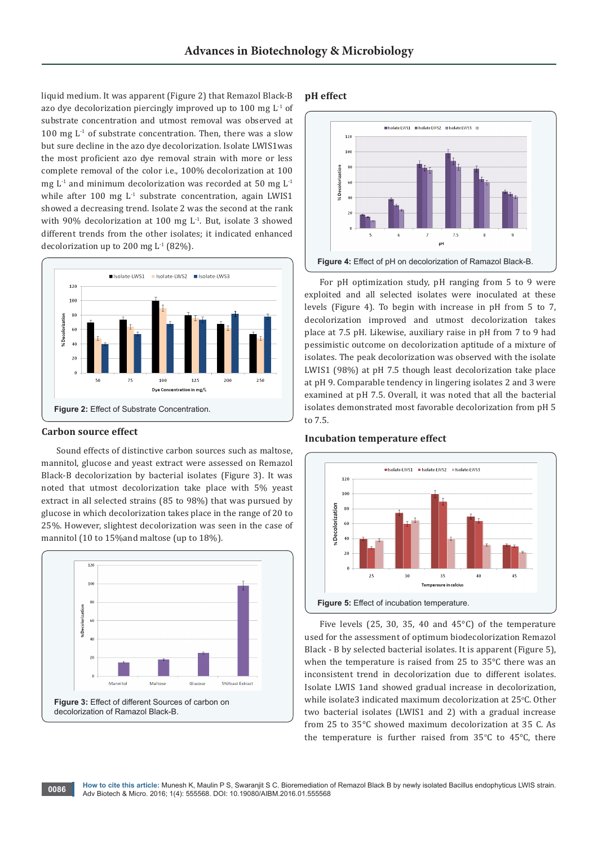liquid medium. It was apparent (Figure 2) that Remazol Black-B azo dye decolorization piercingly improved up to 100 mg  $L^{-1}$  of substrate concentration and utmost removal was observed at 100 mg  $L^1$  of substrate concentration. Then, there was a slow but sure decline in the azo dye decolorization. Isolate LWIS1was the most proficient azo dye removal strain with more or less complete removal of the color i.e., 100% decolorization at 100 mg  $L<sup>-1</sup>$  and minimum decolorization was recorded at 50 mg  $L<sup>-1</sup>$ while after 100 mg  $L<sup>-1</sup>$  substrate concentration, again LWIS1 showed a decreasing trend. Isolate 2 was the second at the rank with 90% decolorization at 100 mg  $L<sup>1</sup>$ . But, isolate 3 showed different trends from the other isolates; it indicated enhanced decolorization up to 200 mg L-1 (82%).



## **Carbon source effect**

Sound effects of distinctive carbon sources such as maltose, mannitol, glucose and yeast extract were assessed on Remazol Black-B decolorization by bacterial isolates (Figure 3). It was noted that utmost decolorization take place with 5% yeast extract in all selected strains (85 to 98%) that was pursued by glucose in which decolorization takes place in the range of 20 to 25%. However, slightest decolorization was seen in the case of mannitol (10 to 15%and maltose (up to 18%).



## **pH effect**



For pH optimization study, pH ranging from 5 to 9 were exploited and all selected isolates were inoculated at these levels (Figure 4). To begin with increase in pH from 5 to 7, decolorization improved and utmost decolorization takes place at 7.5 pH. Likewise, auxiliary raise in pH from 7 to 9 had pessimistic outcome on decolorization aptitude of a mixture of isolates. The peak decolorization was observed with the isolate LWIS1 (98%) at pH 7.5 though least decolorization take place at pH 9. Comparable tendency in lingering isolates 2 and 3 were examined at pH 7.5. Overall, it was noted that all the bacterial isolates demonstrated most favorable decolorization from pH 5 to 7.5.

## **Incubation temperature effect**



Five levels (25, 30, 35, 40 and 45°C) of the temperature used for the assessment of optimum biodecolorization Remazol Black - B by selected bacterial isolates. It is apparent (Figure 5), when the temperature is raised from 25 to 35°C there was an inconsistent trend in decolorization due to different isolates. Isolate LWIS 1and showed gradual increase in decolorization, while isolate3 indicated maximum decolorization at 25°C. Other two bacterial isolates (LWIS1 and 2) with a gradual increase from 25 to 35°C showed maximum decolorization at 35 C. As the temperature is further raised from  $35^{\circ}$ C to  $45^{\circ}$ C, there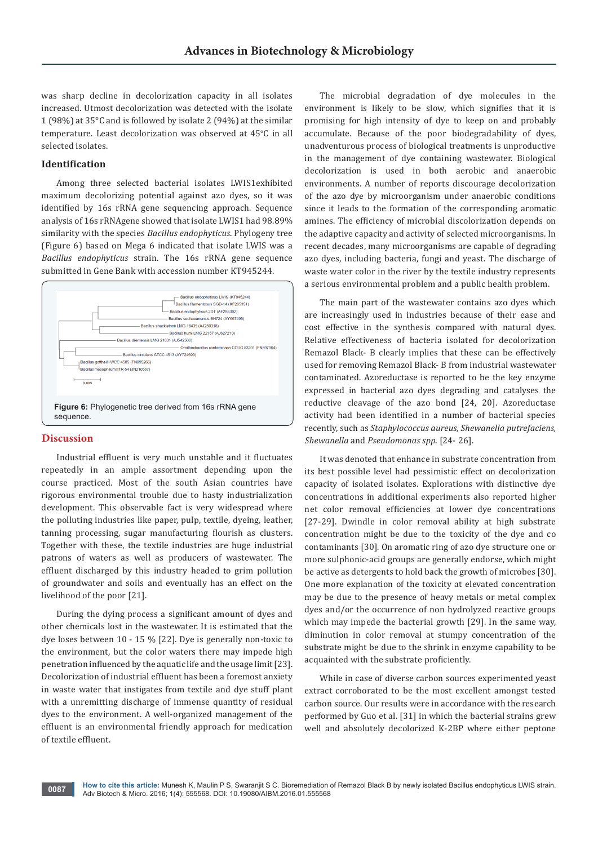was sharp decline in decolorization capacity in all isolates increased. Utmost decolorization was detected with the isolate 1 (98%) at 35°C and is followed by isolate 2 (94%) at the similar temperature. Least decolorization was observed at 45°C in all selected isolates.

# **Identification**

Among three selected bacterial isolates LWIS1exhibited maximum decolorizing potential against azo dyes, so it was identified by 16s rRNA gene sequencing approach. Sequence analysis of 16s rRNAgene showed that isolate LWIS1 had 98.89% similarity with the species *Bacillus endophyticus*. Phylogeny tree (Figure 6) based on Mega 6 indicated that isolate LWIS was a *Bacillus endophyticus* strain. The 16s rRNA gene sequence submitted in Gene Bank with accession number KT945244.



## **Discussion**

Industrial effluent is very much unstable and it fluctuates repeatedly in an ample assortment depending upon the course practiced. Most of the south Asian countries have rigorous environmental trouble due to hasty industrialization development. This observable fact is very widespread where the polluting industries like paper, pulp, textile, dyeing, leather, tanning processing, sugar manufacturing flourish as clusters. Together with these, the textile industries are huge industrial patrons of waters as well as producers of wastewater. The effluent discharged by this industry headed to grim pollution of groundwater and soils and eventually has an effect on the livelihood of the poor [21].

During the dying process a significant amount of dyes and other chemicals lost in the wastewater. It is estimated that the dye loses between 10 - 15 % [22]. Dye is generally non-toxic to the environment, but the color waters there may impede high penetration influenced by the aquatic life and the usage limit [23]. Decolorization of industrial effluent has been a foremost anxiety in waste water that instigates from textile and dye stuff plant with a unremitting discharge of immense quantity of residual dyes to the environment. A well-organized management of the effluent is an environmental friendly approach for medication of textile effluent.

The microbial degradation of dye molecules in the environment is likely to be slow, which signifies that it is promising for high intensity of dye to keep on and probably accumulate. Because of the poor biodegradability of dyes, unadventurous process of biological treatments is unproductive in the management of dye containing wastewater. Biological decolorization is used in both aerobic and anaerobic environments. A number of reports discourage decolorization of the azo dye by microorganism under anaerobic conditions since it leads to the formation of the corresponding aromatic amines. The efficiency of microbial discolorization depends on the adaptive capacity and activity of selected microorganisms. In recent decades, many microorganisms are capable of degrading azo dyes, including bacteria, fungi and yeast. The discharge of waste water color in the river by the textile industry represents a serious environmental problem and a public health problem.

The main part of the wastewater contains azo dyes which are increasingly used in industries because of their ease and cost effective in the synthesis compared with natural dyes. Relative effectiveness of bacteria isolated for decolorization Remazol Black- B clearly implies that these can be effectively used for removing Remazol Black- B from industrial wastewater contaminated. Azoreductase is reported to be the key enzyme expressed in bacterial azo dyes degrading and catalyses the reductive cleavage of the azo bond [24, 20]. Azoreductase activity had been identified in a number of bacterial species recently, such as *Staphylococcus aureus, Shewanella putrefaciens, Shewanella* and *Pseudomonas spp*. [24- 26].

It was denoted that enhance in substrate concentration from its best possible level had pessimistic effect on decolorization capacity of isolated isolates. Explorations with distinctive dye concentrations in additional experiments also reported higher net color removal efficiencies at lower dye concentrations [27-29]. Dwindle in color removal ability at high substrate concentration might be due to the toxicity of the dye and co contaminants [30]. On aromatic ring of azo dye structure one or more sulphonic-acid groups are generally endorse, which might be active as detergents to hold back the growth of microbes [30]. One more explanation of the toxicity at elevated concentration may be due to the presence of heavy metals or metal complex dyes and/or the occurrence of non hydrolyzed reactive groups which may impede the bacterial growth [29]. In the same way, diminution in color removal at stumpy concentration of the substrate might be due to the shrink in enzyme capability to be acquainted with the substrate proficiently.

While in case of diverse carbon sources experimented yeast extract corroborated to be the most excellent amongst tested carbon source. Our results were in accordance with the research performed by Guo et al. [31] in which the bacterial strains grew well and absolutely decolorized K-2BP where either peptone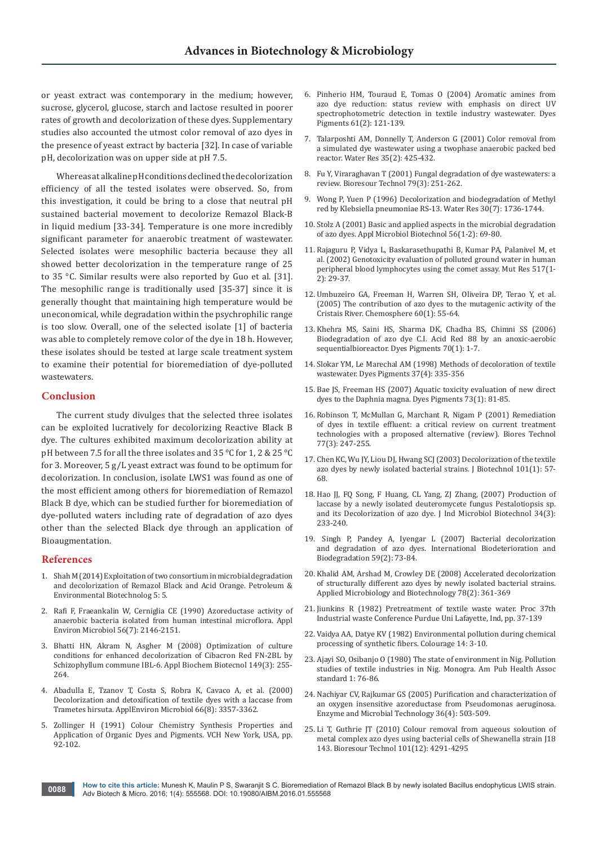or yeast extract was contemporary in the medium; however, sucrose, glycerol, glucose, starch and lactose resulted in poorer rates of growth and decolorization of these dyes. Supplementary studies also accounted the utmost color removal of azo dyes in the presence of yeast extract by bacteria [32]. In case of variable pH, decolorization was on upper side at pH 7.5.

Whereas at alkaline pH conditions declined the decolorization efficiency of all the tested isolates were observed. So, from this investigation, it could be bring to a close that neutral pH sustained bacterial movement to decolorize Remazol Black-B in liquid medium [33-34]. Temperature is one more incredibly significant parameter for anaerobic treatment of wastewater. Selected isolates were mesophilic bacteria because they all showed better decolorization in the temperature range of 25 to 35 °C. Similar results were also reported by Guo et al. [31]. The mesophilic range is traditionally used [35-37] since it is generally thought that maintaining high temperature would be uneconomical, while degradation within the psychrophilic range is too slow. Overall, one of the selected isolate [1] of bacteria was able to completely remove color of the dye in 18 h. However, these isolates should be tested at large scale treatment system to examine their potential for bioremediation of dye-polluted wastewaters.

#### **Conclusion**

The current study divulges that the selected three isolates can be exploited lucratively for decolorizing Reactive Black B dye. The cultures exhibited maximum decolorization ability at pH between 7.5 for all the three isolates and 35 °C for 1, 2 & 25 °C for 3. Moreover, 5 g/L yeast extract was found to be optimum for decolorization. In conclusion, isolate LWS1 was found as one of the most efficient among others for bioremediation of Remazol Black B dye, which can be studied further for bioremediation of dye-polluted waters including rate of degradation of azo dyes other than the selected Black dye through an application of Bioaugmentation.

## **References**

- 1. Shah M (2014) Exploitation of two consortium in microbial degradation and decolorization of Remazol Black and Acid Orange. Petroleum & Environmental Biotechnolog 5: 5.
- 2. [Rafi F, Fraeankalin W, Cerniglia CE \(1990\) Azoreductase activity of](http://aem.asm.org/content/56/7/2146.abstract)  [anaerobic bacteria isolated from human intestinal microflora. Appl](http://aem.asm.org/content/56/7/2146.abstract)  [Environ Microbiol 56\(7\): 2146-2151.](http://aem.asm.org/content/56/7/2146.abstract)
- 3. [Bhatti HN, Akram N, Asgher M \(2008\) Optimization of culture](https://www.ncbi.nlm.nih.gov/pubmed/18500586)  [conditions for enhanced decolorization of Cibacron Red FN-2BL by](https://www.ncbi.nlm.nih.gov/pubmed/18500586)  [Schizophyllum commune IBL-6. Appl Biochem Biotecnol 149\(3\): 255-](https://www.ncbi.nlm.nih.gov/pubmed/18500586) [264.](https://www.ncbi.nlm.nih.gov/pubmed/18500586)
- 4. [Abadulla E, Tzanov T, Costa S, Robra K, Cavaco A, et al. \(2000\)](https://www.ncbi.nlm.nih.gov/pubmed/10919791)  [Decolorization and detoxification of textile dyes with a laccase from](https://www.ncbi.nlm.nih.gov/pubmed/10919791)  [Trametes hirsuta. ApplEnviron Microbiol 66\(8\): 3357-3362.](https://www.ncbi.nlm.nih.gov/pubmed/10919791)
- 5. Zollinger H (1991) Colour Chemistry Synthesis Properties and Application of Organic Dyes and Pigments. VCH New York, USA, pp. 92-102.
- 6. Pinherio HM, Touraud E, Tomas O (2004) Aromatic amines from azo dye reduction: status review with emphasis on direct UV spectrophotometric detection in textile industry wastewater. Dyes Pigments 61(2): 121-139.
- 7. [Talarposhti AM, Donnelly T, Anderson G \(2001\) Color removal from](https://www.ncbi.nlm.nih.gov/pubmed/11228995)  [a simulated dye wastewater using a twophase anaerobic packed bed](https://www.ncbi.nlm.nih.gov/pubmed/11228995)  [reactor. Water Res 35\(2\): 425-432.](https://www.ncbi.nlm.nih.gov/pubmed/11228995)
- 8. [Fu Y, Viraraghavan T \(2001\) Fungal degradation of dye wastewaters: a](https://www.ncbi.nlm.nih.gov/pubmed/11499579)  [review. Bioresour Technol 79\(3\): 251-262.](https://www.ncbi.nlm.nih.gov/pubmed/11499579)
- 9. [Wong P, Yuen P \(1996\) Decolorization and biodegradation of Methyl](http://www.sciencedirect.com/science/article/pii/004313549600067X)  [red by Klebsiella pneumoniae RS-13. Water Res 30\(7\): 1736-1744.](http://www.sciencedirect.com/science/article/pii/004313549600067X)
- 10. [Stolz A \(2001\) Basic and applied aspects in the microbial degradation](https://www.ncbi.nlm.nih.gov/pubmed/11499949)  [of azo dyes. Appl Microbiol Biotechnol 56\(1-2\): 69-80.](https://www.ncbi.nlm.nih.gov/pubmed/11499949)
- 11. [Rajaguru P, Vidya L, Baskarasethupathi B, Kumar PA, Palanivel M, et](https://www.ncbi.nlm.nih.gov/pubmed/12034306)  [al. \(2002\) Genotoxicity evaluation of polluted ground water in human](https://www.ncbi.nlm.nih.gov/pubmed/12034306)  [peripheral blood lymphocytes using the comet assay. Mut Res 517\(1-](https://www.ncbi.nlm.nih.gov/pubmed/12034306) [2\): 29-37.](https://www.ncbi.nlm.nih.gov/pubmed/12034306)
- 12. [Umbuzeiro GA, Freeman H, Warren SH, Oliveira DP, Terao Y, et al.](https://www.ncbi.nlm.nih.gov/pubmed/15910902)  [\(2005\) The contribution of azo dyes to the mutagenic activity of the](https://www.ncbi.nlm.nih.gov/pubmed/15910902)  [Cristais River. Chemosphere 60\(1\): 55-64](https://www.ncbi.nlm.nih.gov/pubmed/15910902).
- 13. [Khehra MS, Saini HS, Sharma DK, Chadha BS, Chimni SS \(2006\)](http://www.sciencedirect.com/science/article/pii/S0143720805001324)  [Biodegradation of azo dye C.I. Acid Red 88 by an anoxic-aerobic](http://www.sciencedirect.com/science/article/pii/S0143720805001324)  [sequentialbioreactor. Dyes Pigments 70\(1\): 1-7.](http://www.sciencedirect.com/science/article/pii/S0143720805001324)
- 14. [Slokar YM, Le Marechal AM \(1998\) Methods of decoloration of textile](http://www.sciencedirect.com/science/article/pii/S0143720897000752)  [wastewater. Dyes Pigments 37\(4\): 335-356](http://www.sciencedirect.com/science/article/pii/S0143720897000752)
- 15. [Bae JS, Freeman HS \(2007\) Aquatic toxicity evaluation of new direct](http://www.sciencedirect.com/science/article/pii/S0143720805003505)  [dyes to the Daphnia magna. Dyes Pigments 73\(1\): 81-85.](http://www.sciencedirect.com/science/article/pii/S0143720805003505)
- 16. [Robinson T, McMullan G, Marchant R, Nigam P \(2001\) Remediation](https://www.ncbi.nlm.nih.gov/pubmed/11272011)  [of dyes in textile effluent: a critical review on current treatment](https://www.ncbi.nlm.nih.gov/pubmed/11272011)  [technologies with a proposed alternative \(review\). Biores Technol](https://www.ncbi.nlm.nih.gov/pubmed/11272011)  [77\(3\): 247-255.](https://www.ncbi.nlm.nih.gov/pubmed/11272011)
- 17. [Chen KC, Wu JY, Liou DJ, Hwang SCJ \(2003\) Decolorization of the textile](https://www.ncbi.nlm.nih.gov/pubmed/12523970)  [azo dyes by newly isolated bacterial strains. J Biotechnol 101\(1\): 57-](https://www.ncbi.nlm.nih.gov/pubmed/12523970) [68.](https://www.ncbi.nlm.nih.gov/pubmed/12523970)
- 18. Hao JJ, FQ Song, F Huang, CL Yang, ZJ Zhang, (2007) Production of laccase by a newly isolated deuteromycete fungus Pestalotiopsis sp. and its Decolorization of azo dye. [J Ind Microbiol Biotechnol](https://www.ncbi.nlm.nih.gov/pubmed/17171552) 34(3): [233-240.](https://www.ncbi.nlm.nih.gov/pubmed/17171552)
- 19. [Singh P, Pandey A, Iyengar L \(2007\) Bacterial decolorization](http://www.sciencedirect.com/science/article/pii/S0964830506001430)  [and degradation of azo dyes. International Biodeterioration and](http://www.sciencedirect.com/science/article/pii/S0964830506001430)  [Biodegradation 59\(2\): 73-84.](http://www.sciencedirect.com/science/article/pii/S0964830506001430)
- 20. [Khalid AM, Arshad M, Crowley DE \(2008\) Accelerated decolorization](https://www.ncbi.nlm.nih.gov/pubmed/18084755)  [of structurally different azo dyes by newly isolated bacterial strains.](https://www.ncbi.nlm.nih.gov/pubmed/18084755)  [Applied Microbiology and Biotechnology 78\(2\): 361-369](https://www.ncbi.nlm.nih.gov/pubmed/18084755)
- 21. [Jiunkins R \(1982\) Pretreatment of textile waste water. Proc 37th](http://www.sciepub.com/reference/20788)  [Industrial waste Conference Purdue Uni Lafayette, Ind, pp. 37-139](http://www.sciepub.com/reference/20788)
- 22. Vaidya AA, Datye KV (1982) Environmental pollution during chemical processing of synthetic fibers. Colourage 14: 3-10.
- 23. Ajayi SO, Osibanjo O (1980) The state of environment in Nig. Pollution studies of textile industries in Nig. Monogra. Am Pub Health Assoc standard 1: 76-86.
- 24. [Nachiyar CV, Rajkumar GS \(2005\) Purification and characterization of](http://www.sciencedirect.com/science/article/pii/S0141022904003503)  [an oxygen insensitive azoreductase from Pseudomonas aeruginosa.](http://www.sciencedirect.com/science/article/pii/S0141022904003503)  [Enzyme and Microbial Technology 36\(4\): 503-509.](http://www.sciencedirect.com/science/article/pii/S0141022904003503)
- 25. [Li T, Guthrie JT \(2010\) Colour removal from aqueous soloution of](https://www.ncbi.nlm.nih.gov/pubmed/20167478)  [metal complex azo dyes using bacterial cells of Shewanella strain J18](https://www.ncbi.nlm.nih.gov/pubmed/20167478)  [143. Bioresour Technol 101\(12\): 4291-4295](https://www.ncbi.nlm.nih.gov/pubmed/20167478)